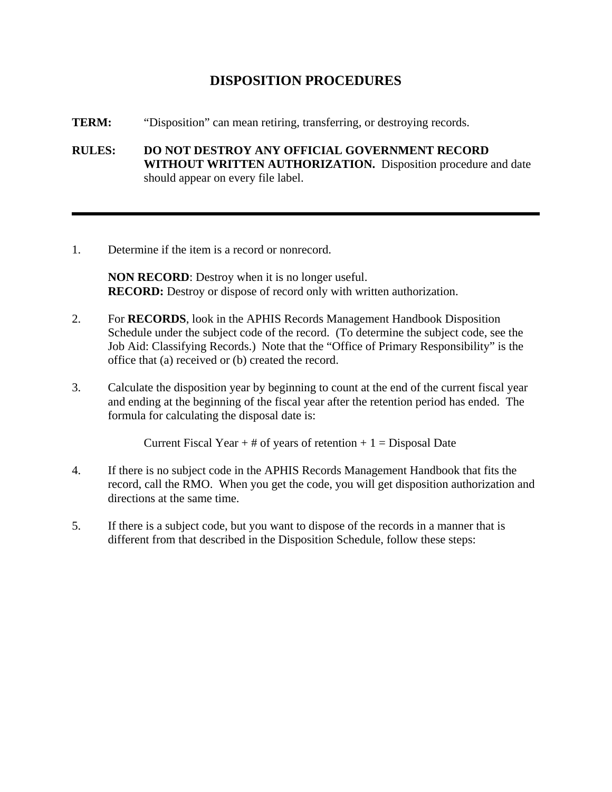## **DISPOSITION PROCEDURES**

- **TERM:** "Disposition" can mean retiring, transferring, or destroying records.
- **RULES: DO NOT DESTROY ANY OFFICIAL GOVERNMENT RECORD WITHOUT WRITTEN AUTHORIZATION.** Disposition procedure and date should appear on every file label.
- 1. Determine if the item is a record or nonrecord.

**NON RECORD**: Destroy when it is no longer useful. **RECORD:** Destroy or dispose of record only with written authorization.

- 2. For **RECORDS**, look in the APHIS Records Management Handbook Disposition Schedule under the subject code of the record. (To determine the subject code, see the Job Aid: Classifying Records.) Note that the "Office of Primary Responsibility" is the office that (a) received or (b) created the record.
- 3. Calculate the disposition year by beginning to count at the end of the current fiscal year and ending at the beginning of the fiscal year after the retention period has ended. The formula for calculating the disposal date is:

Current Fiscal Year  $+$  # of years of retention  $+$  1 = Disposal Date

- 4. If there is no subject code in the APHIS Records Management Handbook that fits the record, call the RMO. When you get the code, you will get disposition authorization and directions at the same time.
- 5. If there is a subject code, but you want to dispose of the records in a manner that is different from that described in the Disposition Schedule, follow these steps: